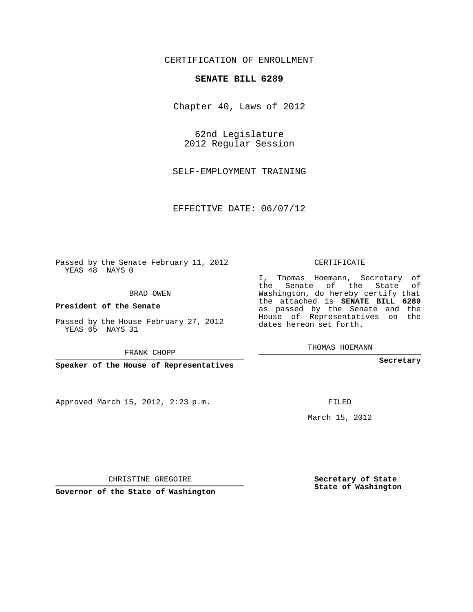## CERTIFICATION OF ENROLLMENT

## **SENATE BILL 6289**

Chapter 40, Laws of 2012

62nd Legislature 2012 Regular Session

SELF-EMPLOYMENT TRAINING

EFFECTIVE DATE: 06/07/12

Passed by the Senate February 11, 2012 YEAS 48 NAYS 0

BRAD OWEN

**President of the Senate**

Passed by the House February 27, 2012 YEAS 65 NAYS 31

FRANK CHOPP

**Speaker of the House of Representatives**

Approved March 15, 2012, 2:23 p.m.

CERTIFICATE

I, Thomas Hoemann, Secretary of the Senate of the State of Washington, do hereby certify that the attached is **SENATE BILL 6289** as passed by the Senate and the House of Representatives on the dates hereon set forth.

THOMAS HOEMANN

**Secretary**

FILED

March 15, 2012

**Secretary of State State of Washington**

CHRISTINE GREGOIRE

**Governor of the State of Washington**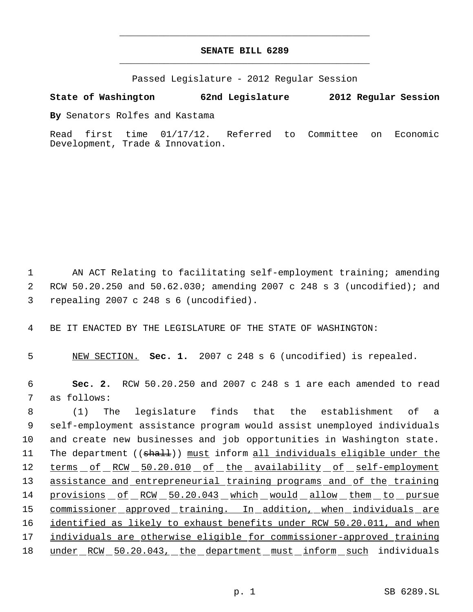## **SENATE BILL 6289** \_\_\_\_\_\_\_\_\_\_\_\_\_\_\_\_\_\_\_\_\_\_\_\_\_\_\_\_\_\_\_\_\_\_\_\_\_\_\_\_\_\_\_\_\_

\_\_\_\_\_\_\_\_\_\_\_\_\_\_\_\_\_\_\_\_\_\_\_\_\_\_\_\_\_\_\_\_\_\_\_\_\_\_\_\_\_\_\_\_\_

Passed Legislature - 2012 Regular Session

## **State of Washington 62nd Legislature 2012 Regular Session**

**By** Senators Rolfes and Kastama

Read first time 01/17/12. Referred to Committee on Economic Development, Trade & Innovation.

 1 AN ACT Relating to facilitating self-employment training; amending 2 RCW 50.20.250 and 50.62.030; amending 2007 c 248 s 3 (uncodified); and 3 repealing 2007 c 248 s 6 (uncodified).

4 BE IT ENACTED BY THE LEGISLATURE OF THE STATE OF WASHINGTON:

5 NEW SECTION. **Sec. 1.** 2007 c 248 s 6 (uncodified) is repealed.

 6 **Sec. 2.** RCW 50.20.250 and 2007 c 248 s 1 are each amended to read 7 as follows:

 8 (1) The legislature finds that the establishment of a 9 self-employment assistance program would assist unemployed individuals 10 and create new businesses and job opportunities in Washington state. 11 The department ((shall)) must inform all individuals eligible under the 12 terms of RCW 50.20.010 of the availability of self-employment 13 assistance and entrepreneurial training programs and of the training 14 provisions of RCW 50.20.043 which would allow them to pursue 15 commissioner approved training. In addition, when individuals are 16 identified as likely to exhaust benefits under RCW 50.20.011, and when 17 individuals are otherwise eligible for commissioner-approved training 18 under RCW 50.20.043, the department must inform such individuals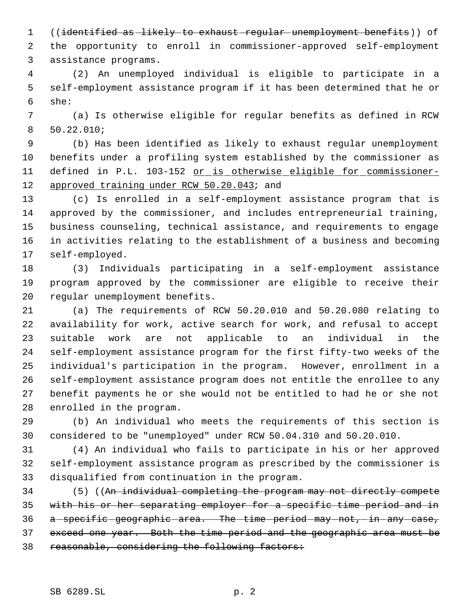((identified as likely to exhaust regular unemployment benefits)) of

 the opportunity to enroll in commissioner-approved self-employment assistance programs.

 (2) An unemployed individual is eligible to participate in a self-employment assistance program if it has been determined that he or she:

 (a) Is otherwise eligible for regular benefits as defined in RCW 50.22.010;

 (b) Has been identified as likely to exhaust regular unemployment benefits under a profiling system established by the commissioner as 11 defined in P.L. 103-152 or is otherwise eligible for commissioner-approved training under RCW 50.20.043; and

 (c) Is enrolled in a self-employment assistance program that is approved by the commissioner, and includes entrepreneurial training, business counseling, technical assistance, and requirements to engage in activities relating to the establishment of a business and becoming self-employed.

 (3) Individuals participating in a self-employment assistance program approved by the commissioner are eligible to receive their regular unemployment benefits.

 (a) The requirements of RCW 50.20.010 and 50.20.080 relating to availability for work, active search for work, and refusal to accept suitable work are not applicable to an individual in the self-employment assistance program for the first fifty-two weeks of the individual's participation in the program. However, enrollment in a self-employment assistance program does not entitle the enrollee to any benefit payments he or she would not be entitled to had he or she not enrolled in the program.

 (b) An individual who meets the requirements of this section is considered to be "unemployed" under RCW 50.04.310 and 50.20.010.

 (4) An individual who fails to participate in his or her approved self-employment assistance program as prescribed by the commissioner is disqualified from continuation in the program.

34 (5) ((An individual completing the program may not directly compete with his or her separating employer for a specific time period and in 36 a - specific geographic - area. The - time - period - may - not, - in - any - case, exceed one year. Both the time period and the geographic area must be 38 reasonable, considering the following factors: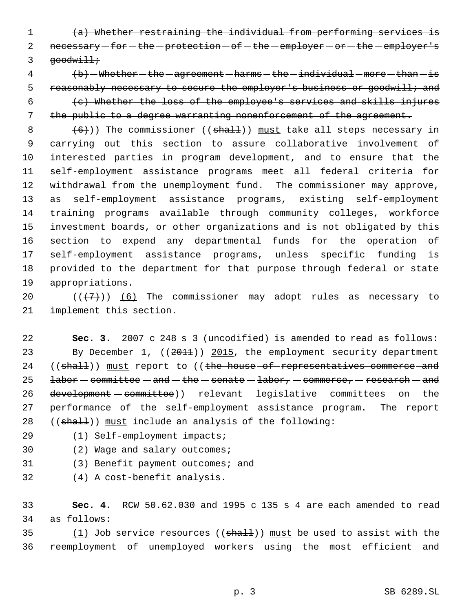(a) Whether restraining the individual from performing services is 2 necessary - for - the - protection - of - the - employer - or - the - employer's  $3 \qquad \text{goodwidth}$ 

  $\left( b\right)$  - Whether - the - agreement - harms - the - individual - more - than - is 5 reasonably necessary to secure the employer's business or goodwill; and (c) Whether the loss of the employee's services and skills injures the public to a degree warranting nonenforcement of the agreement.

  $(6)$ )) The commissioner ((shall)) must take all steps necessary in carrying out this section to assure collaborative involvement of interested parties in program development, and to ensure that the self-employment assistance programs meet all federal criteria for withdrawal from the unemployment fund. The commissioner may approve, as self-employment assistance programs, existing self-employment training programs available through community colleges, workforce investment boards, or other organizations and is not obligated by this section to expend any departmental funds for the operation of self-employment assistance programs, unless specific funding is provided to the department for that purpose through federal or state appropriations.

20  $((+7)$ ) (6) The commissioner may adopt rules as necessary to implement this section.

 **Sec. 3.** 2007 c 248 s 3 (uncodified) is amended to read as follows: 23 By December 1, ((2011)) 2015, the employment security department 24 ((shall)) must report to ((the house of representatives commerce and 25 labor  $-$  committee  $-$  and  $-$  the  $-$  senate  $-$  labor,  $-$  commerce,  $-$  research  $-$  and 26 development - committee)) relevant legislative committees on the performance of the self-employment assistance program. The report 28  $((shalt))$  must include an analysis of the following:

- (1) Self-employment impacts;
- (2) Wage and salary outcomes;
- (3) Benefit payment outcomes; and
- (4) A cost-benefit analysis.

 **Sec. 4.** RCW 50.62.030 and 1995 c 135 s 4 are each amended to read as follows:

35  $(1)$  Job service resources (( $shall$ )) must be used to assist with the reemployment of unemployed workers using the most efficient and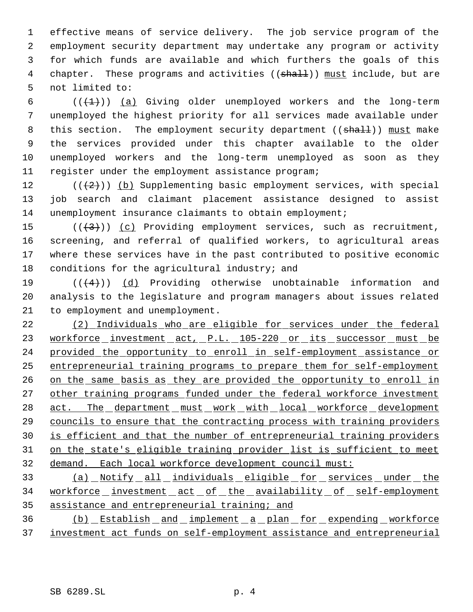effective means of service delivery. The job service program of the employment security department may undertake any program or activity for which funds are available and which furthers the goals of this 4 chapter. These programs and activities ((shall)) must include, but are not limited to:

 $((+1))$  (a) Giving older unemployed workers and the long-term unemployed the highest priority for all services made available under 8 this section. The employment security department ((shall)) must make the services provided under this chapter available to the older unemployed workers and the long-term unemployed as soon as they register under the employment assistance program;

12 ( $(\langle 2 \rangle)$ ) (b) Supplementing basic employment services, with special job search and claimant placement assistance designed to assist unemployment insurance claimants to obtain employment;

 $((+3))$   $(c)$  Providing employment services, such as recruitment, screening, and referral of qualified workers, to agricultural areas where these services have in the past contributed to positive economic conditions for the agricultural industry; and

19  $((+4))$  (d) Providing otherwise unobtainable information and analysis to the legislature and program managers about issues related to employment and unemployment.

 (2) Individuals who are eligible for services under the federal 23 workforce investment act, P.L. 105-220 or its successor must be provided the opportunity to enroll in self-employment assistance or entrepreneurial training programs to prepare them for self-employment 26 on the same basis as they are provided the opportunity to enroll in 27 other training programs funded under the federal workforce investment 28 act. The department must work with local workforce development councils to ensure that the contracting process with training providers is efficient and that the number of entrepreneurial training providers on the state's eligible training provider list is sufficient to meet demand. Each local workforce development council must:

 (a) Notify all individuals eligible for services under the 34 workforce investment act of the availability of self-employment assistance and entrepreneurial training; and

 (b) Establish and implement a plan for expending workforce investment act funds on self-employment assistance and entrepreneurial